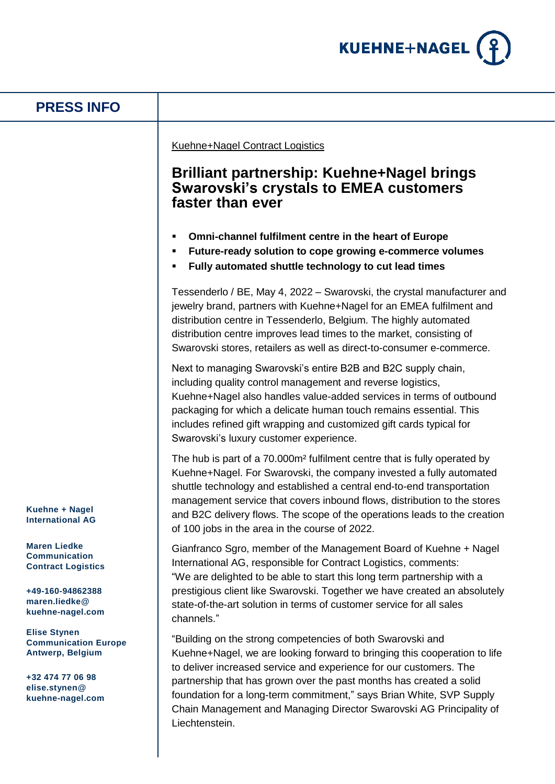

## **PRESS INFO**

Kuehne+Nagel Contract Logistics

## **Brilliant partnership: Kuehne+Nagel brings Swarovski's crystals to EMEA customers faster than ever**

- **Omni-channel fulfilment centre in the heart of Europe**
- **Future-ready solution to cope growing e-commerce volumes**
- **Fully automated shuttle technology to cut lead times**

Tessenderlo / BE, May 4, 2022 – Swarovski, the crystal manufacturer and jewelry brand, partners with Kuehne+Nagel for an EMEA fulfilment and distribution centre in Tessenderlo, Belgium. The highly automated distribution centre improves lead times to the market, consisting of Swarovski stores, retailers as well as direct-to-consumer e-commerce.

Next to managing Swarovski's entire B2B and B2C supply chain, including quality control management and reverse logistics, Kuehne+Nagel also handles value-added services in terms of outbound packaging for which a delicate human touch remains essential. This includes refined gift wrapping and customized gift cards typical for Swarovski's luxury customer experience.

The hub is part of a 70.000m² fulfilment centre that is fully operated by Kuehne+Nagel. For Swarovski, the company invested a fully automated shuttle technology and established a central end-to-end transportation management service that covers inbound flows, distribution to the stores and B2C delivery flows. The scope of the operations leads to the creation of 100 jobs in the area in the course of 2022.

Gianfranco Sgro, member of the Management Board of Kuehne + Nagel International AG, responsible for Contract Logistics, comments: "We are delighted to be able to start this long term partnership with a prestigious client like Swarovski. Together we have created an absolutely state-of-the-art solution in terms of customer service for all sales channels."

"Building on the strong competencies of both Swarovski and Kuehne+Nagel, we are looking forward to bringing this cooperation to life to deliver increased service and experience for our customers. The partnership that has grown over the past months has created a solid foundation for a long-term commitment," says Brian White, SVP Supply Chain Management and Managing Director Swarovski AG Principality of Liechtenstein.

**Kuehne + Nagel International AG**

**Maren Liedke Communication Contract Logistics** 

**+49-160-94862388 maren.liedke@ kuehne-nagel.com**

**Elise Stynen Communication Europe Antwerp, Belgium**

**+32 474 77 06 98 elise.stynen@ kuehne-nagel.com**